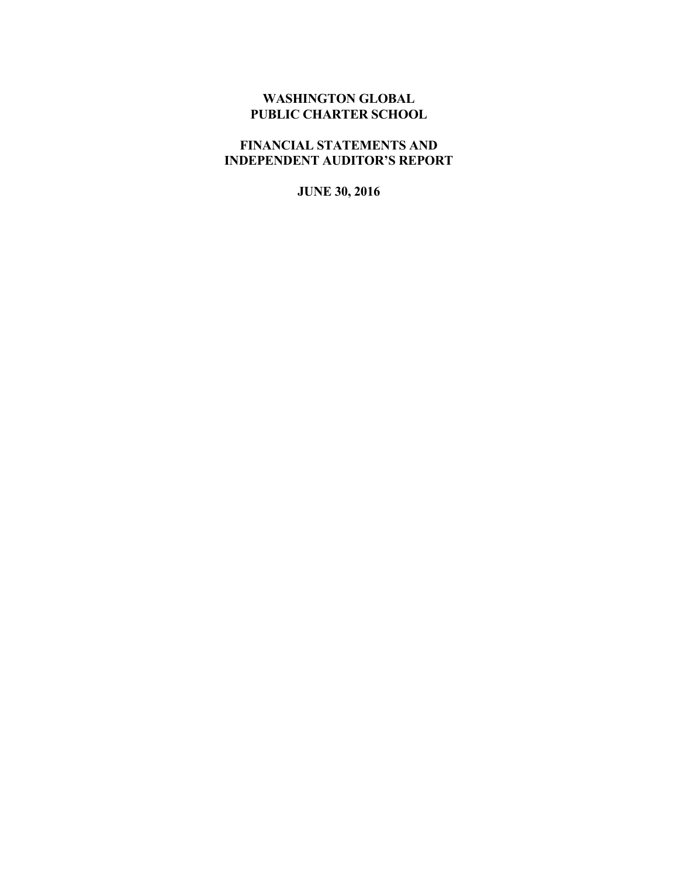# **WASHINGTON GLOBAL PUBLIC CHARTER SCHOOL**

# **FINANCIAL STATEMENTS AND INDEPENDENT AUDITOR'S REPORT**

**JUNE 30, 2016**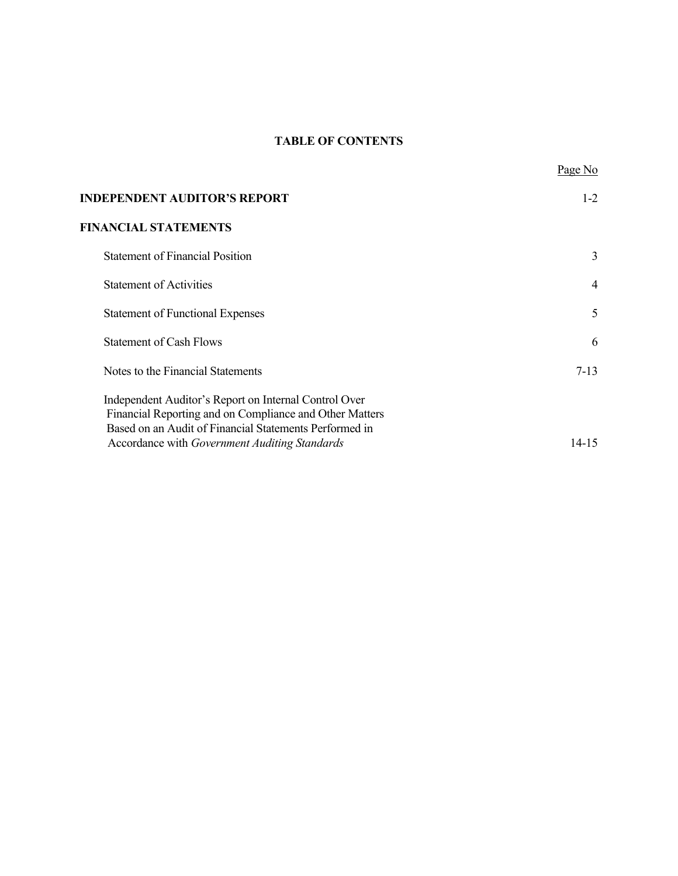# **TABLE OF CONTENTS**

| <b>INDEPENDENT AUDITOR'S REPORT</b>                                                                                                                                                                                         | $1-2$          |
|-----------------------------------------------------------------------------------------------------------------------------------------------------------------------------------------------------------------------------|----------------|
| <b>FINANCIAL STATEMENTS</b>                                                                                                                                                                                                 |                |
| <b>Statement of Financial Position</b>                                                                                                                                                                                      | 3              |
| <b>Statement of Activities</b>                                                                                                                                                                                              | $\overline{4}$ |
| <b>Statement of Functional Expenses</b>                                                                                                                                                                                     | 5              |
| <b>Statement of Cash Flows</b>                                                                                                                                                                                              | 6              |
| Notes to the Financial Statements                                                                                                                                                                                           | $7-13$         |
| Independent Auditor's Report on Internal Control Over<br>Financial Reporting and on Compliance and Other Matters<br>Based on an Audit of Financial Statements Performed in<br>Accordance with Government Auditing Standards | 14-15          |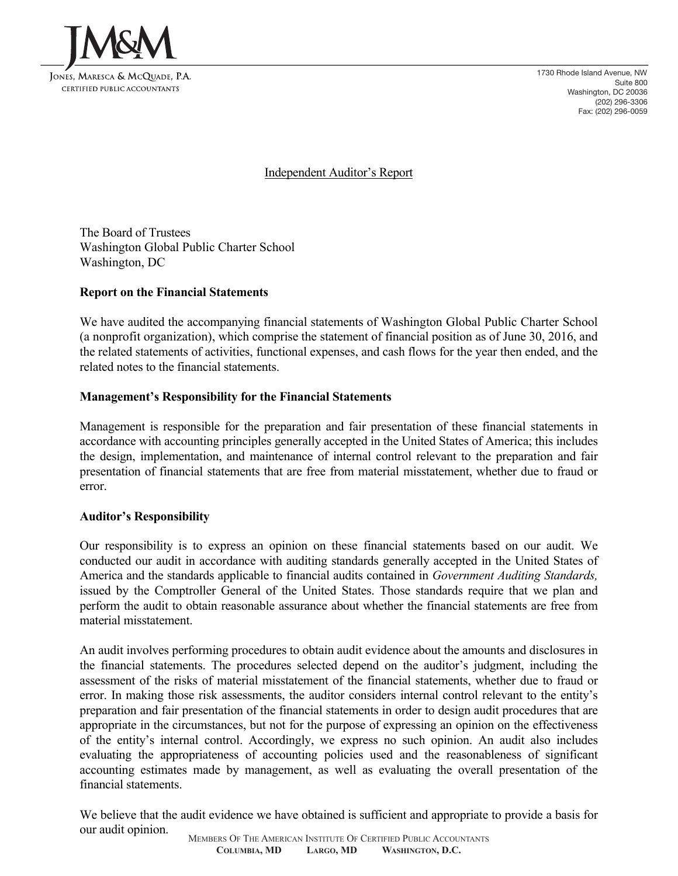

1730 Rhode Island Avenue, NW Suite 800 Washington, DC 20036 (202) 296-3306 Fax: (202) 296-0059

Independent Auditor's Report

The Board of Trustees Washington Global Public Charter School Washington, DC

# **Report on the Financial Statements**

We have audited the accompanying financial statements of Washington Global Public Charter School (a nonprofit organization), which comprise the statement of financial position as of June 30, 2016, and the related statements of activities, functional expenses, and cash flows for the year then ended, and the related notes to the financial statements.

### **Management's Responsibility for the Financial Statements**

Management is responsible for the preparation and fair presentation of these financial statements in accordance with accounting principles generally accepted in the United States of America; this includes the design, implementation, and maintenance of internal control relevant to the preparation and fair presentation of financial statements that are free from material misstatement, whether due to fraud or error.

#### **Auditor's Responsibility**

Our responsibility is to express an opinion on these financial statements based on our audit. We conducted our audit in accordance with auditing standards generally accepted in the United States of America and the standards applicable to financial audits contained in *Government Auditing Standards,* issued by the Comptroller General of the United States. Those standards require that we plan and perform the audit to obtain reasonable assurance about whether the financial statements are free from material misstatement.

An audit involves performing procedures to obtain audit evidence about the amounts and disclosures in the financial statements. The procedures selected depend on the auditor's judgment, including the assessment of the risks of material misstatement of the financial statements, whether due to fraud or error. In making those risk assessments, the auditor considers internal control relevant to the entity's preparation and fair presentation of the financial statements in order to design audit procedures that are appropriate in the circumstances, but not for the purpose of expressing an opinion on the effectiveness of the entity's internal control. Accordingly, we express no such opinion. An audit also includes evaluating the appropriateness of accounting policies used and the reasonableness of significant accounting estimates made by management, as well as evaluating the overall presentation of the financial statements.

We believe that the audit evidence we have obtained is sufficient and appropriate to provide a basis for our audit opinion.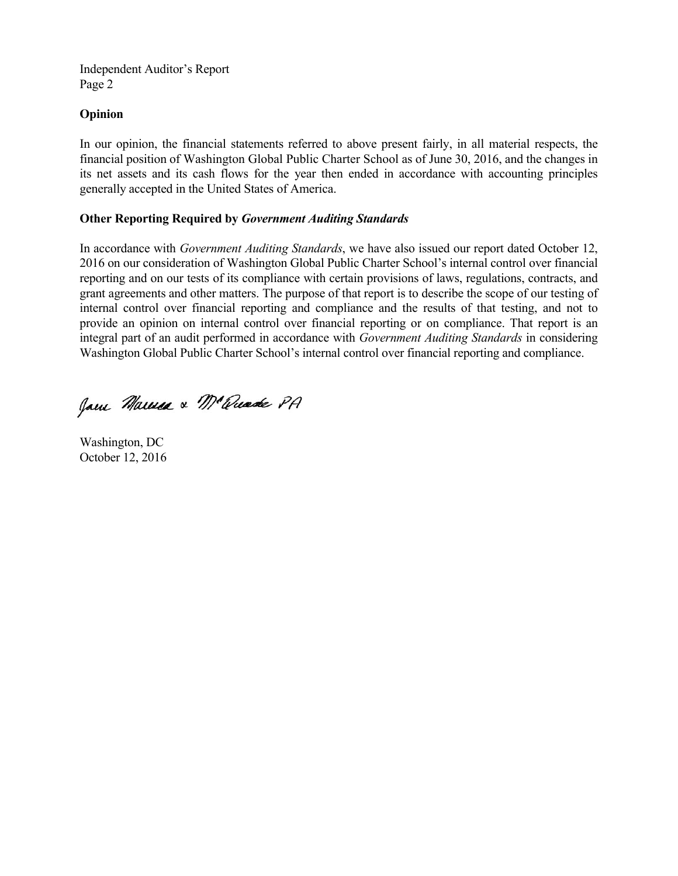Independent Auditor's Report Page 2

### **Opinion**

In our opinion, the financial statements referred to above present fairly, in all material respects, the financial position of Washington Global Public Charter School as of June 30, 2016, and the changes in its net assets and its cash flows for the year then ended in accordance with accounting principles generally accepted in the United States of America.

### **Other Reporting Required by** *Government Auditing Standards*

In accordance with *Government Auditing Standards*, we have also issued our report dated October 12, 2016 on our consideration of Washington Global Public Charter School's internal control over financial reporting and on our tests of its compliance with certain provisions of laws, regulations, contracts, and grant agreements and other matters. The purpose of that report is to describe the scope of our testing of internal control over financial reporting and compliance and the results of that testing, and not to provide an opinion on internal control over financial reporting or on compliance. That report is an integral part of an audit performed in accordance with *Government Auditing Standards* in considering Washington Global Public Charter School's internal control over financial reporting and compliance.

Jam Marina & M'amade PA

Washington, DC October 12, 2016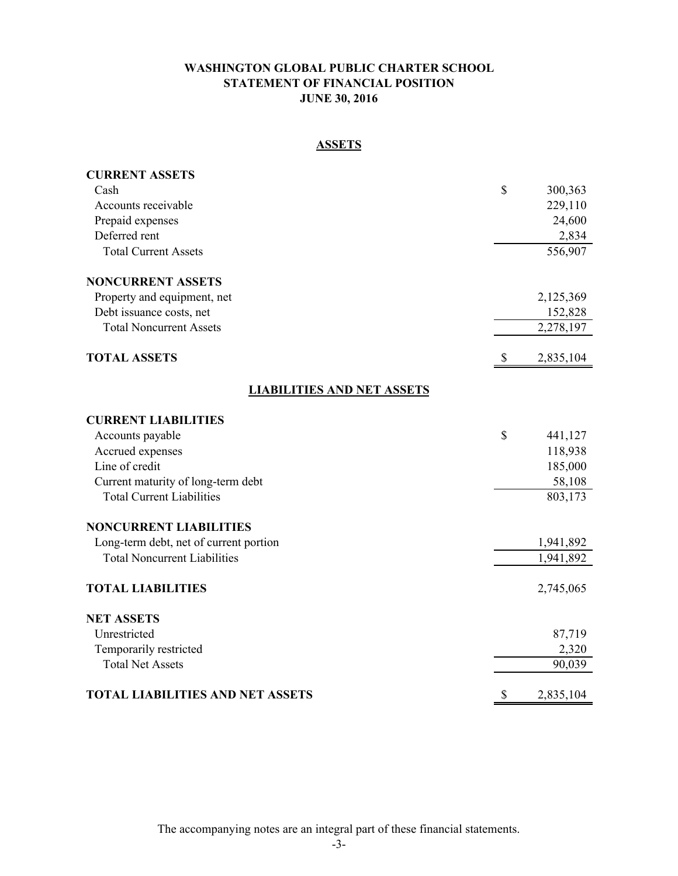# **WASHINGTON GLOBAL PUBLIC CHARTER SCHOOL STATEMENT OF FINANCIAL POSITION JUNE 30, 2016**

# **ASSETS**

| <b>CURRENT ASSETS</b>                   |                 |
|-----------------------------------------|-----------------|
| Cash                                    | \$<br>300,363   |
| Accounts receivable                     | 229,110         |
| Prepaid expenses                        | 24,600          |
| Deferred rent                           | 2,834           |
| <b>Total Current Assets</b>             | 556,907         |
| <b>NONCURRENT ASSETS</b>                |                 |
| Property and equipment, net             | 2,125,369       |
| Debt issuance costs, net                | 152,828         |
| <b>Total Noncurrent Assets</b>          | 2,278,197       |
| <b>TOTAL ASSETS</b>                     | 2,835,104       |
| <b>LIABILITIES AND NET ASSETS</b>       |                 |
| <b>CURRENT LIABILITIES</b>              |                 |
| Accounts payable                        | \$<br>441,127   |
| Accrued expenses                        | 118,938         |
| Line of credit                          | 185,000         |
| Current maturity of long-term debt      | 58,108          |
| <b>Total Current Liabilities</b>        | 803,173         |
| <b>NONCURRENT LIABILITIES</b>           |                 |
| Long-term debt, net of current portion  | 1,941,892       |
| <b>Total Noncurrent Liabilities</b>     | 1,941,892       |
| <b>TOTAL LIABILITIES</b>                | 2,745,065       |
| <b>NET ASSETS</b>                       |                 |
| Unrestricted                            | 87,719          |
| Temporarily restricted                  | 2,320           |
| <b>Total Net Assets</b>                 | 90,039          |
| <b>TOTAL LIABILITIES AND NET ASSETS</b> | \$<br>2,835,104 |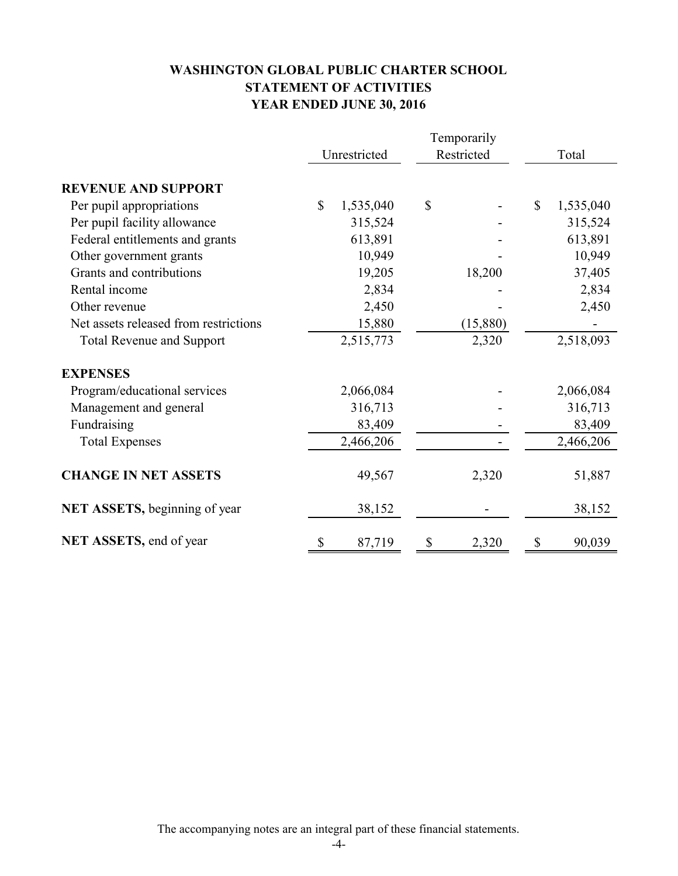# **WASHINGTON GLOBAL PUBLIC CHARTER SCHOOL STATEMENT OF ACTIVITIES YEAR ENDED JUNE 30, 2016**

|                                       | Temporarily  |           |    |            |    |           |
|---------------------------------------|--------------|-----------|----|------------|----|-----------|
|                                       | Unrestricted |           |    | Restricted |    | Total     |
| <b>REVENUE AND SUPPORT</b>            |              |           |    |            |    |           |
| Per pupil appropriations              | $\mathbb{S}$ | 1,535,040 | \$ |            | \$ | 1,535,040 |
| Per pupil facility allowance          |              | 315,524   |    |            |    | 315,524   |
| Federal entitlements and grants       |              | 613,891   |    |            |    | 613,891   |
| Other government grants               |              | 10,949    |    |            |    | 10,949    |
| Grants and contributions              |              | 19,205    |    | 18,200     |    | 37,405    |
| Rental income                         |              | 2,834     |    |            |    | 2,834     |
| Other revenue                         |              | 2,450     |    |            |    | 2,450     |
| Net assets released from restrictions |              | 15,880    |    | (15,880)   |    |           |
| <b>Total Revenue and Support</b>      |              | 2,515,773 |    | 2,320      |    | 2,518,093 |
| <b>EXPENSES</b>                       |              |           |    |            |    |           |
| Program/educational services          |              | 2,066,084 |    |            |    | 2,066,084 |
| Management and general                |              | 316,713   |    |            |    | 316,713   |
| Fundraising                           |              | 83,409    |    |            |    | 83,409    |
| <b>Total Expenses</b>                 |              | 2,466,206 |    |            |    | 2,466,206 |
| <b>CHANGE IN NET ASSETS</b>           |              | 49,567    |    | 2,320      |    | 51,887    |
| <b>NET ASSETS, beginning of year</b>  |              | 38,152    |    |            |    | 38,152    |
| NET ASSETS, end of year               | \$           | 87,719    | \$ | 2,320      | \$ | 90,039    |

The accompanying notes are an integral part of these financial statements.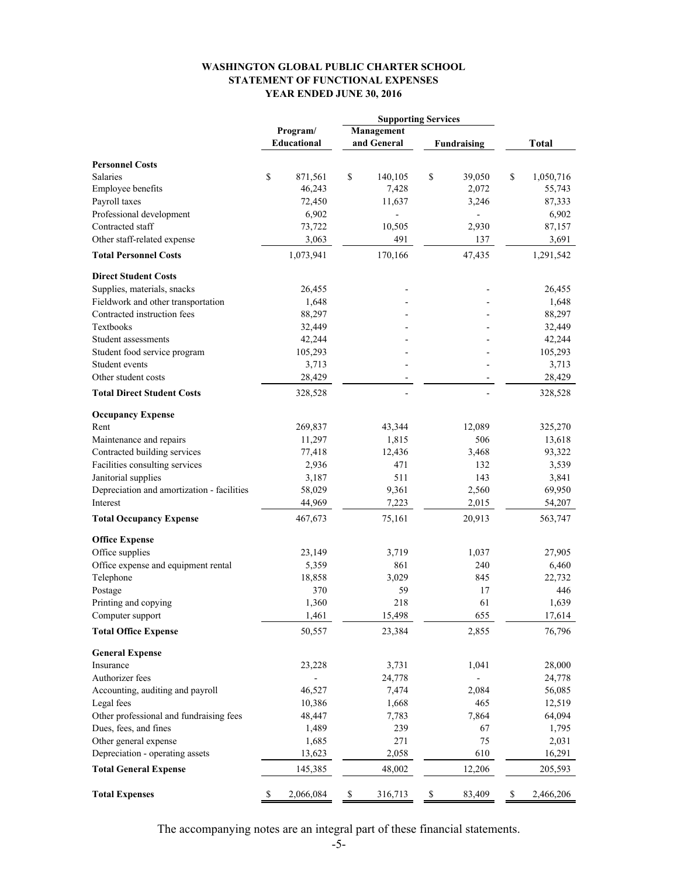#### **WASHINGTON GLOBAL PUBLIC CHARTER SCHOOL STATEMENT OF FUNCTIONAL EXPENSES YEAR ENDED JUNE 30, 2016**

|                                            | <b>Supporting Services</b> |             |             |    |                    |    |              |
|--------------------------------------------|----------------------------|-------------|-------------|----|--------------------|----|--------------|
|                                            | Management<br>Program/     |             |             |    |                    |    |              |
|                                            | Educational                |             | and General |    | <b>Fundraising</b> |    | <b>Total</b> |
| <b>Personnel Costs</b>                     |                            |             |             |    |                    |    |              |
| <b>Salaries</b>                            | \$<br>871,561              | \$          | 140,105     | \$ | 39,050             | \$ | 1,050,716    |
| Employee benefits                          | 46,243                     |             | 7,428       |    | 2,072              |    | 55,743       |
| Payroll taxes                              | 72,450                     |             | 11,637      |    | 3,246              |    | 87,333       |
| Professional development                   | 6,902                      |             | -           |    | $\overline{a}$     |    | 6,902        |
| Contracted staff                           | 73,722                     |             | 10,505      |    | 2,930              |    | 87,157       |
| Other staff-related expense                | 3,063                      |             | 491         |    | 137                |    | 3,691        |
| <b>Total Personnel Costs</b>               | 1,073,941                  |             | 170,166     |    | 47,435             |    | 1,291,542    |
| <b>Direct Student Costs</b>                |                            |             |             |    |                    |    |              |
| Supplies, materials, snacks                | 26,455                     |             |             |    |                    |    | 26,455       |
| Fieldwork and other transportation         | 1,648                      |             |             |    |                    |    | 1,648        |
| Contracted instruction fees                | 88,297                     |             |             |    |                    |    | 88,297       |
| <b>Textbooks</b>                           | 32,449                     |             |             |    |                    |    | 32,449       |
| Student assessments                        | 42,244                     |             |             |    |                    |    | 42,244       |
| Student food service program               | 105,293                    |             |             |    |                    |    | 105,293      |
| Student events                             | 3,713                      |             |             |    |                    |    | 3,713        |
| Other student costs                        | 28,429                     |             |             |    |                    |    | 28,429       |
| <b>Total Direct Student Costs</b>          | 328,528                    |             |             |    |                    |    | 328,528      |
| <b>Occupancy Expense</b>                   |                            |             |             |    |                    |    |              |
| Rent                                       | 269,837                    |             | 43,344      |    | 12,089             |    | 325,270      |
| Maintenance and repairs                    | 11,297                     |             | 1,815       |    | 506                |    | 13,618       |
| Contracted building services               | 77,418                     |             | 12,436      |    | 3,468              |    | 93,322       |
| Facilities consulting services             | 2,936                      |             | 471         |    | 132                |    | 3,539        |
| Janitorial supplies                        | 3,187                      |             | 511         |    | 143                |    | 3,841        |
| Depreciation and amortization - facilities | 58,029                     |             | 9,361       |    | 2,560              |    | 69,950       |
| Interest                                   | 44,969                     |             | 7,223       |    | 2,015              |    | 54,207       |
| <b>Total Occupancy Expense</b>             | 467,673                    |             | 75,161      |    | 20,913             |    | 563,747      |
| <b>Office Expense</b>                      |                            |             |             |    |                    |    |              |
| Office supplies                            | 23,149                     |             | 3,719       |    | 1,037              |    | 27,905       |
| Office expense and equipment rental        | 5,359                      |             | 861         |    | 240                |    | 6,460        |
| Telephone                                  | 18,858                     |             | 3,029       |    | 845                |    | 22,732       |
| Postage                                    | 370                        |             | 59          |    | 17                 |    | 446          |
| Printing and copying                       | 1,360                      |             | 218         |    | 61                 |    | 1,639        |
| Computer support                           | 1,461                      |             | 15,498      |    | 655                |    | 17,614       |
| <b>Total Office Expense</b>                | 50,557                     |             | 23,384      |    | 2,855              |    | 76,796       |
| <b>General Expense</b>                     |                            |             |             |    |                    |    |              |
| Insurance                                  | 23,228                     |             | 3,731       |    | 1,041              |    | 28,000       |
| Authorizer fees                            | $\overline{\phantom{0}}$   |             | 24,778      |    | ÷,                 |    | 24,778       |
| Accounting, auditing and payroll           | 46,527                     |             | 7,474       |    | 2,084              |    | 56,085       |
| Legal fees                                 | 10,386                     |             | 1,668       |    | 465                |    | 12,519       |
| Other professional and fundraising fees    | 48,447                     |             | 7,783       |    | 7,864              |    | 64,094       |
| Dues, fees, and fines                      | 1,489                      |             | 239         |    | 67                 |    | 1,795        |
| Other general expense                      | 1,685                      |             | 271         |    | 75                 |    | 2,031        |
| Depreciation - operating assets            | 13,623                     |             | 2,058       |    | 610                |    | 16,291       |
| <b>Total General Expense</b>               | 145,385                    |             | 48,002      |    | 12,206             |    | 205,593      |
|                                            |                            |             |             |    |                    |    |              |
| <b>Total Expenses</b>                      | \$<br>2,066,084            | $\mathbb S$ | 316,713     | \$ | 83,409             | \$ | 2,466,206    |

The accompanying notes are an integral part of these financial statements.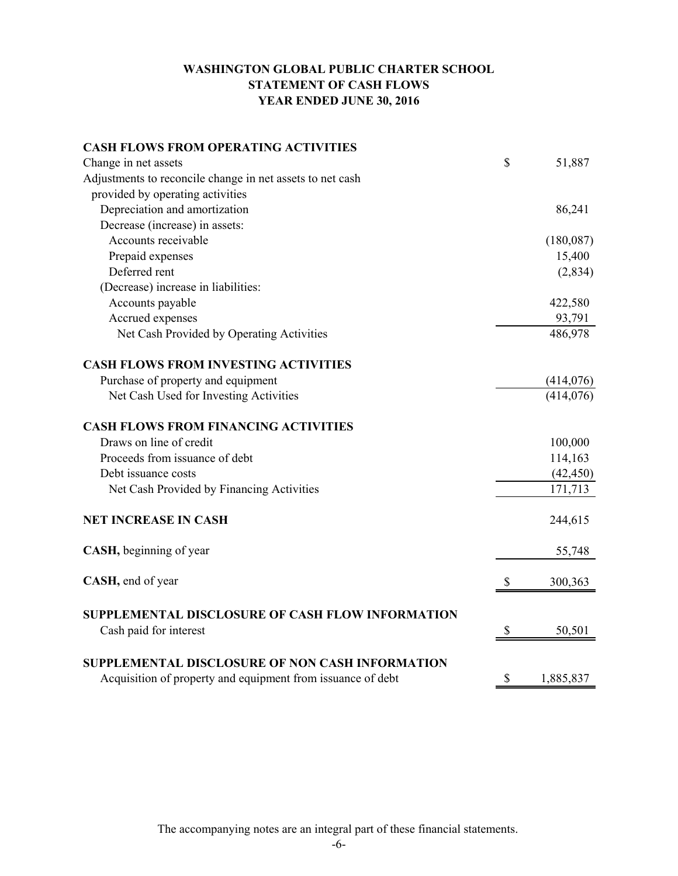# **WASHINGTON GLOBAL PUBLIC CHARTER SCHOOL STATEMENT OF CASH FLOWS YEAR ENDED JUNE 30, 2016**

| <b>CASH FLOWS FROM OPERATING ACTIVITIES</b>                 |                 |
|-------------------------------------------------------------|-----------------|
| Change in net assets                                        | \$<br>51,887    |
| Adjustments to reconcile change in net assets to net cash   |                 |
| provided by operating activities                            |                 |
| Depreciation and amortization                               | 86,241          |
| Decrease (increase) in assets:                              |                 |
| Accounts receivable                                         | (180,087)       |
| Prepaid expenses                                            | 15,400          |
| Deferred rent                                               | (2,834)         |
| (Decrease) increase in liabilities:                         |                 |
| Accounts payable                                            | 422,580         |
| Accrued expenses                                            | 93,791          |
| Net Cash Provided by Operating Activities                   | 486,978         |
| <b>CASH FLOWS FROM INVESTING ACTIVITIES</b>                 |                 |
| Purchase of property and equipment                          | (414, 076)      |
| Net Cash Used for Investing Activities                      | (414, 076)      |
| <b>CASH FLOWS FROM FINANCING ACTIVITIES</b>                 |                 |
| Draws on line of credit                                     | 100,000         |
| Proceeds from issuance of debt                              | 114,163         |
| Debt issuance costs                                         | (42, 450)       |
| Net Cash Provided by Financing Activities                   | 171,713         |
| <b>NET INCREASE IN CASH</b>                                 | 244,615         |
| CASH, beginning of year                                     | 55,748          |
| CASH, end of year                                           | \$<br>300,363   |
| SUPPLEMENTAL DISCLOSURE OF CASH FLOW INFORMATION            |                 |
| Cash paid for interest                                      | \$<br>50,501    |
| SUPPLEMENTAL DISCLOSURE OF NON CASH INFORMATION             |                 |
| Acquisition of property and equipment from issuance of debt | \$<br>1,885,837 |

The accompanying notes are an integral part of these financial statements.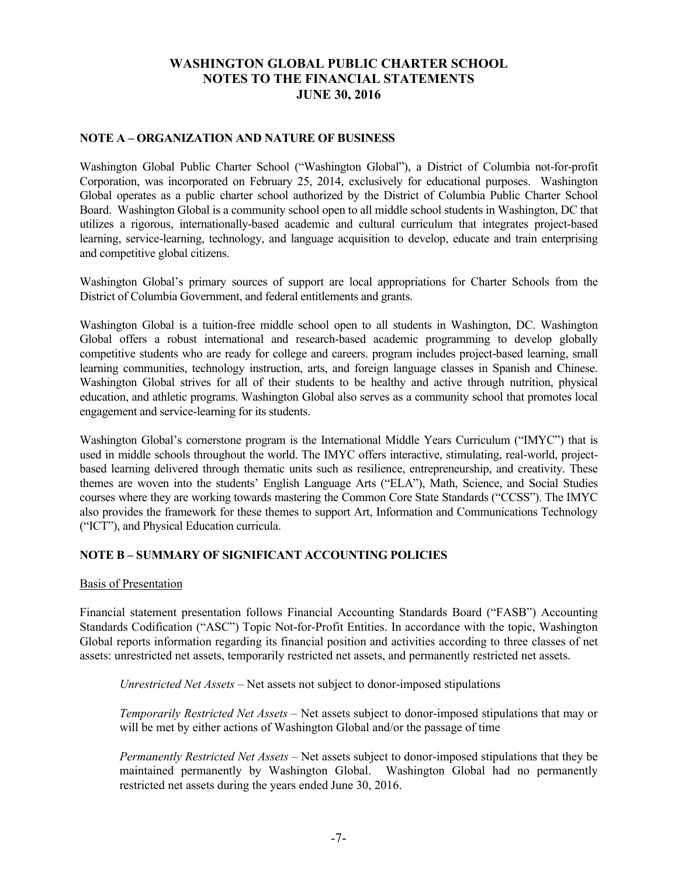#### **NOTE A – ORGANIZATION AND NATURE OF BUSINESS**

Washington Global Public Charter School ("Washington Global"), a District of Columbia not-for-profit Corporation, was incorporated on February 25, 2014, exclusively for educational purposes. Washington Global operates as a public charter school authorized by the District of Columbia Public Charter School Board. Washington Global is a community school open to all middle school students in Washington, DC that utilizes a rigorous, internationally-based academic and cultural curriculum that integrates project-based learning, service-learning, technology, and language acquisition to develop, educate and train enterprising and competitive global citizens.

Washington Global's primary sources of support are local appropriations for Charter Schools from the District of Columbia Government, and federal entitlements and grants.

Washington Global is a tuition-free middle school open to all students in Washington, DC. Washington Global offers a robust international and research-based academic programming to develop globally competitive students who are ready for college and careers. program includes project-based learning, small learning communities, technology instruction, arts, and foreign language classes in Spanish and Chinese. Washington Global strives for all of their students to be healthy and active through nutrition, physical education, and athletic programs. Washington Global also serves as a community school that promotes local engagement and service-learning for its students.

Washington Global's cornerstone program is the International Middle Years Curriculum ("IMYC") that is used in middle schools throughout the world. The IMYC offers interactive, stimulating, real-world, projectbased learning delivered through thematic units such as resilience, entrepreneurship, and creativity. These themes are woven into the students' English Language Arts ("ELA"), Math, Science, and Social Studies courses where they are working towards mastering the Common Core State Standards ("CCSS"). The IMYC also provides the framework for these themes to support Art, Information and Communications Technology ("ICT"), and Physical Education curricula.

#### **NOTE B – SUMMARY OF SIGNIFICANT ACCOUNTING POLICIES**

#### Basis of Presentation

Financial statement presentation follows Financial Accounting Standards Board ("FASB") Accounting Standards Codification ("ASC") Topic Not-for-Profit Entities. In accordance with the topic, Washington Global reports information regarding its financial position and activities according to three classes of net assets: unrestricted net assets, temporarily restricted net assets, and permanently restricted net assets.

*Unrestricted Net Assets* – Net assets not subject to donor-imposed stipulations

*Temporarily Restricted Net Assets* – Net assets subject to donor-imposed stipulations that may or will be met by either actions of Washington Global and/or the passage of time

*Permanently Restricted Net Assets* – Net assets subject to donor-imposed stipulations that they be maintained permanently by Washington Global. Washington Global had no permanently restricted net assets during the years ended June 30, 2016.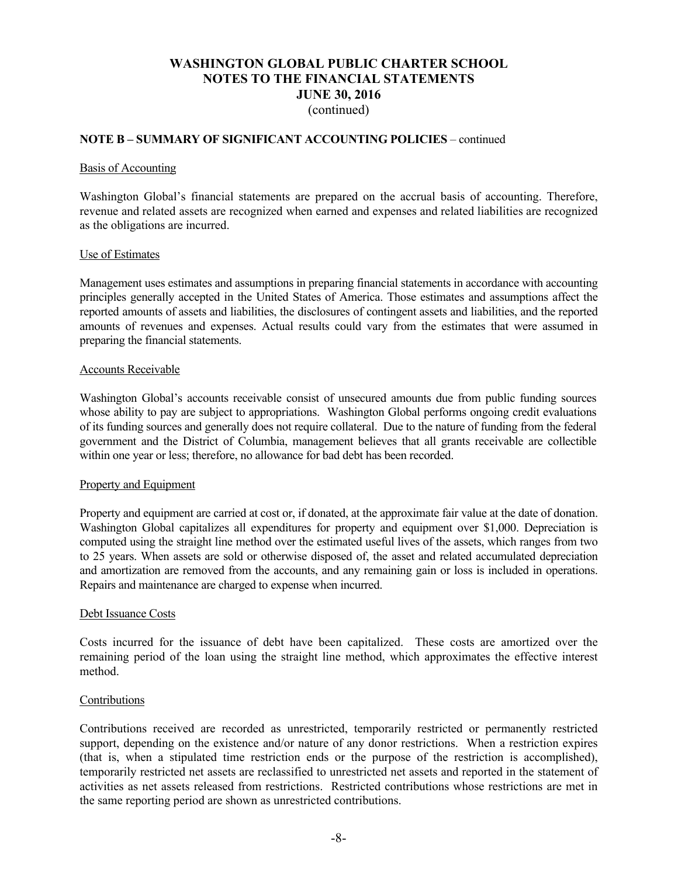### **NOTE B – SUMMARY OF SIGNIFICANT ACCOUNTING POLICIES** – continued

#### Basis of Accounting

Washington Global's financial statements are prepared on the accrual basis of accounting. Therefore, revenue and related assets are recognized when earned and expenses and related liabilities are recognized as the obligations are incurred.

#### Use of Estimates

Management uses estimates and assumptions in preparing financial statements in accordance with accounting principles generally accepted in the United States of America. Those estimates and assumptions affect the reported amounts of assets and liabilities, the disclosures of contingent assets and liabilities, and the reported amounts of revenues and expenses. Actual results could vary from the estimates that were assumed in preparing the financial statements.

#### Accounts Receivable

Washington Global's accounts receivable consist of unsecured amounts due from public funding sources whose ability to pay are subject to appropriations. Washington Global performs ongoing credit evaluations of its funding sources and generally does not require collateral. Due to the nature of funding from the federal government and the District of Columbia, management believes that all grants receivable are collectible within one year or less; therefore, no allowance for bad debt has been recorded.

#### Property and Equipment

Property and equipment are carried at cost or, if donated, at the approximate fair value at the date of donation. Washington Global capitalizes all expenditures for property and equipment over \$1,000. Depreciation is computed using the straight line method over the estimated useful lives of the assets, which ranges from two to 25 years. When assets are sold or otherwise disposed of, the asset and related accumulated depreciation and amortization are removed from the accounts, and any remaining gain or loss is included in operations. Repairs and maintenance are charged to expense when incurred.

#### Debt Issuance Costs

Costs incurred for the issuance of debt have been capitalized. These costs are amortized over the remaining period of the loan using the straight line method, which approximates the effective interest method.

#### Contributions

Contributions received are recorded as unrestricted, temporarily restricted or permanently restricted support, depending on the existence and/or nature of any donor restrictions. When a restriction expires (that is, when a stipulated time restriction ends or the purpose of the restriction is accomplished), temporarily restricted net assets are reclassified to unrestricted net assets and reported in the statement of activities as net assets released from restrictions. Restricted contributions whose restrictions are met in the same reporting period are shown as unrestricted contributions.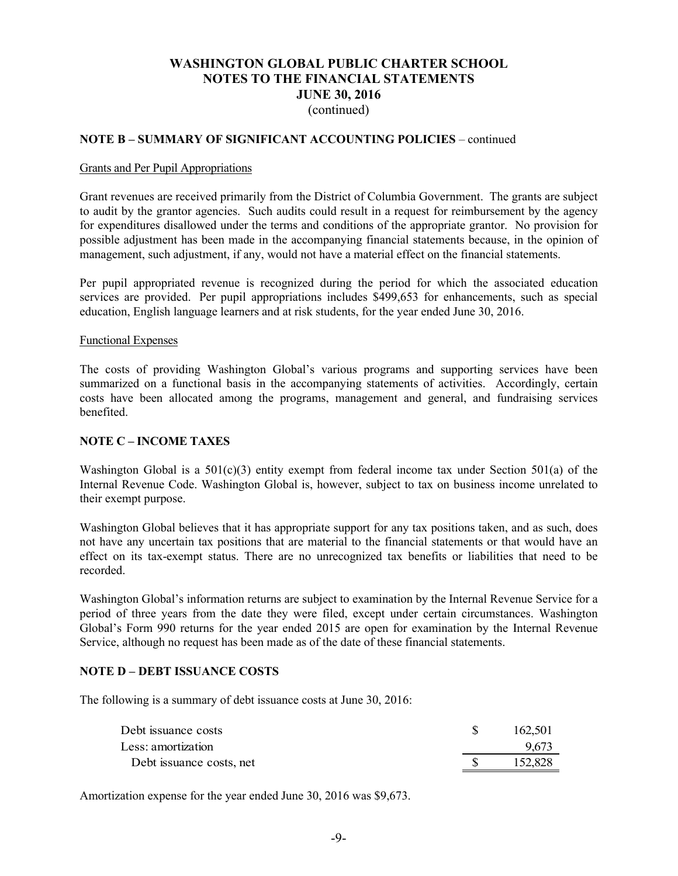### **NOTE B – SUMMARY OF SIGNIFICANT ACCOUNTING POLICIES** – continued

#### Grants and Per Pupil Appropriations

Grant revenues are received primarily from the District of Columbia Government. The grants are subject to audit by the grantor agencies. Such audits could result in a request for reimbursement by the agency for expenditures disallowed under the terms and conditions of the appropriate grantor. No provision for possible adjustment has been made in the accompanying financial statements because, in the opinion of management, such adjustment, if any, would not have a material effect on the financial statements.

Per pupil appropriated revenue is recognized during the period for which the associated education services are provided. Per pupil appropriations includes \$499,653 for enhancements, such as special education, English language learners and at risk students, for the year ended June 30, 2016.

#### Functional Expenses

The costs of providing Washington Global's various programs and supporting services have been summarized on a functional basis in the accompanying statements of activities. Accordingly, certain costs have been allocated among the programs, management and general, and fundraising services benefited.

#### **NOTE C – INCOME TAXES**

Washington Global is a  $501(c)(3)$  entity exempt from federal income tax under Section 501(a) of the Internal Revenue Code. Washington Global is, however, subject to tax on business income unrelated to their exempt purpose.

Washington Global believes that it has appropriate support for any tax positions taken, and as such, does not have any uncertain tax positions that are material to the financial statements or that would have an effect on its tax-exempt status. There are no unrecognized tax benefits or liabilities that need to be recorded.

Washington Global's information returns are subject to examination by the Internal Revenue Service for a period of three years from the date they were filed, except under certain circumstances. Washington Global's Form 990 returns for the year ended 2015 are open for examination by the Internal Revenue Service, although no request has been made as of the date of these financial statements.

#### **NOTE D – DEBT ISSUANCE COSTS**

The following is a summary of debt issuance costs at June 30, 2016:

| Debt issuance costs      | 162,501 |
|--------------------------|---------|
| Less: amortization       | 9.673   |
| Debt issuance costs, net | 152,828 |

Amortization expense for the year ended June 30, 2016 was \$9,673.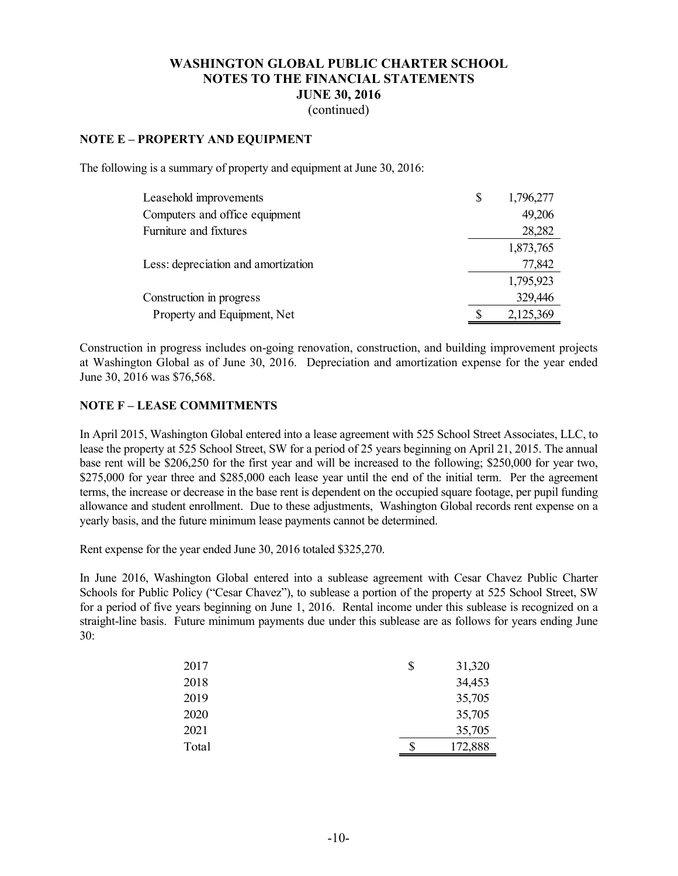(continued)

### **NOTE E – PROPERTY AND EQUIPMENT**

The following is a summary of property and equipment at June 30, 2016:

| Leasehold improvements              | \$<br>1,796,277 |
|-------------------------------------|-----------------|
| Computers and office equipment      | 49,206          |
| Furniture and fixtures              | 28,282          |
|                                     | 1,873,765       |
| Less: depreciation and amortization | 77,842          |
|                                     | 1,795,923       |
| Construction in progress            | 329,446         |
| Property and Equipment, Net         | 2,125,369       |

Construction in progress includes on-going renovation, construction, and building improvement projects at Washington Global as of June 30, 2016. Depreciation and amortization expense for the year ended June 30, 2016 was \$76,568.

#### **NOTE F – LEASE COMMITMENTS**

In April 2015, Washington Global entered into a lease agreement with 525 School Street Associates, LLC, to lease the property at 525 School Street, SW for a period of 25 years beginning on April 21, 2015. The annual base rent will be \$206,250 for the first year and will be increased to the following; \$250,000 for year two, \$275,000 for year three and \$285,000 each lease year until the end of the initial term. Per the agreement terms, the increase or decrease in the base rent is dependent on the occupied square footage, per pupil funding allowance and student enrollment. Due to these adjustments, Washington Global records rent expense on a yearly basis, and the future minimum lease payments cannot be determined.

Rent expense for the year ended June 30, 2016 totaled \$325,270.

In June 2016, Washington Global entered into a sublease agreement with Cesar Chavez Public Charter Schools for Public Policy ("Cesar Chavez"), to sublease a portion of the property at 525 School Street, SW for a period of five years beginning on June 1, 2016. Rental income under this sublease is recognized on a straight-line basis. Future minimum payments due under this sublease are as follows for years ending June 30:

| 2017  | \$<br>31,320  |
|-------|---------------|
| 2018  | 34,453        |
| 2019  | 35,705        |
| 2020  | 35,705        |
| 2021  | 35,705        |
| Total | \$<br>172,888 |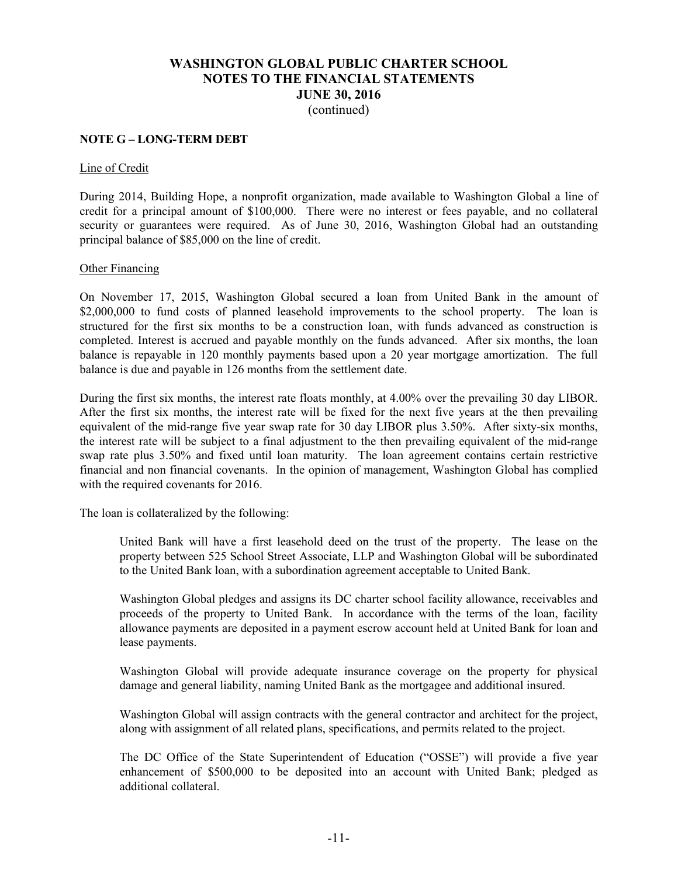#### **NOTE G – LONG-TERM DEBT**

#### Line of Credit

During 2014, Building Hope, a nonprofit organization, made available to Washington Global a line of credit for a principal amount of \$100,000. There were no interest or fees payable, and no collateral security or guarantees were required. As of June 30, 2016, Washington Global had an outstanding principal balance of \$85,000 on the line of credit.

#### Other Financing

On November 17, 2015, Washington Global secured a loan from United Bank in the amount of \$2,000,000 to fund costs of planned leasehold improvements to the school property. The loan is structured for the first six months to be a construction loan, with funds advanced as construction is completed. Interest is accrued and payable monthly on the funds advanced. After six months, the loan balance is repayable in 120 monthly payments based upon a 20 year mortgage amortization. The full balance is due and payable in 126 months from the settlement date.

During the first six months, the interest rate floats monthly, at 4.00% over the prevailing 30 day LIBOR. After the first six months, the interest rate will be fixed for the next five years at the then prevailing equivalent of the mid-range five year swap rate for 30 day LIBOR plus 3.50%. After sixty-six months, the interest rate will be subject to a final adjustment to the then prevailing equivalent of the mid-range swap rate plus 3.50% and fixed until loan maturity. The loan agreement contains certain restrictive financial and non financial covenants. In the opinion of management, Washington Global has complied with the required covenants for 2016.

The loan is collateralized by the following:

United Bank will have a first leasehold deed on the trust of the property. The lease on the property between 525 School Street Associate, LLP and Washington Global will be subordinated to the United Bank loan, with a subordination agreement acceptable to United Bank.

Washington Global pledges and assigns its DC charter school facility allowance, receivables and proceeds of the property to United Bank. In accordance with the terms of the loan, facility allowance payments are deposited in a payment escrow account held at United Bank for loan and lease payments.

Washington Global will provide adequate insurance coverage on the property for physical damage and general liability, naming United Bank as the mortgagee and additional insured.

Washington Global will assign contracts with the general contractor and architect for the project, along with assignment of all related plans, specifications, and permits related to the project.

The DC Office of the State Superintendent of Education ("OSSE") will provide a five year enhancement of \$500,000 to be deposited into an account with United Bank; pledged as additional collateral.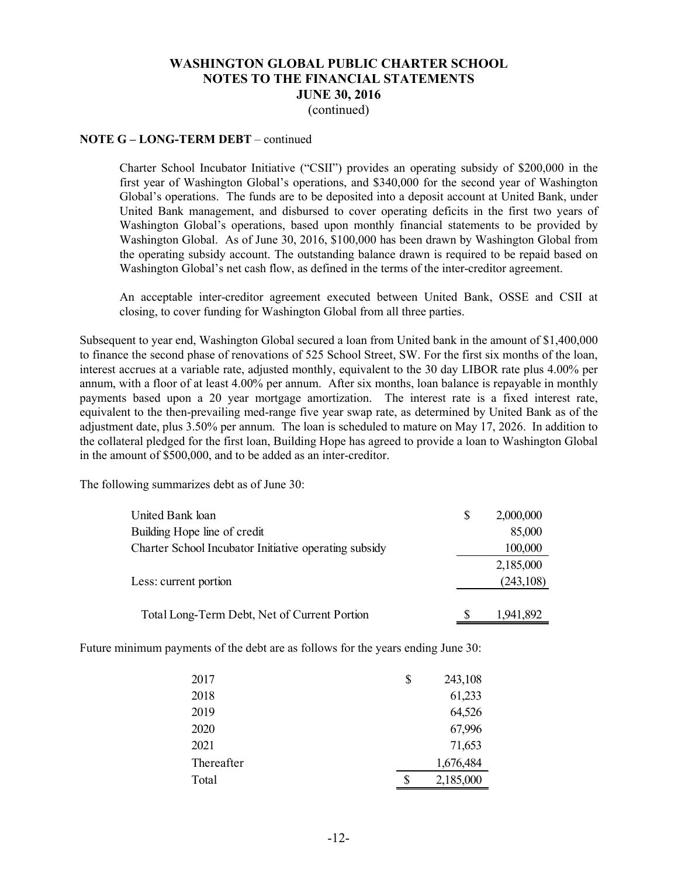#### **NOTE G – LONG-TERM DEBT** – continued

Charter School Incubator Initiative ("CSII") provides an operating subsidy of \$200,000 in the first year of Washington Global's operations, and \$340,000 for the second year of Washington Global's operations. The funds are to be deposited into a deposit account at United Bank, under United Bank management, and disbursed to cover operating deficits in the first two years of Washington Global's operations, based upon monthly financial statements to be provided by Washington Global. As of June 30, 2016, \$100,000 has been drawn by Washington Global from the operating subsidy account. The outstanding balance drawn is required to be repaid based on Washington Global's net cash flow, as defined in the terms of the inter-creditor agreement.

An acceptable inter-creditor agreement executed between United Bank, OSSE and CSII at closing, to cover funding for Washington Global from all three parties.

Subsequent to year end, Washington Global secured a loan from United bank in the amount of \$1,400,000 to finance the second phase of renovations of 525 School Street, SW. For the first six months of the loan, interest accrues at a variable rate, adjusted monthly, equivalent to the 30 day LIBOR rate plus 4.00% per annum, with a floor of at least 4.00% per annum. After six months, loan balance is repayable in monthly payments based upon a 20 year mortgage amortization. The interest rate is a fixed interest rate, equivalent to the then-prevailing med-range five year swap rate, as determined by United Bank as of the adjustment date, plus 3.50% per annum. The loan is scheduled to mature on May 17, 2026. In addition to the collateral pledged for the first loan, Building Hope has agreed to provide a loan to Washington Global in the amount of \$500,000, and to be added as an inter-creditor.

The following summarizes debt as of June 30:

| United Bank loan                                      | 2,000,000  |
|-------------------------------------------------------|------------|
| Building Hope line of credit                          | 85,000     |
| Charter School Incubator Initiative operating subsidy | 100,000    |
|                                                       | 2,185,000  |
| Less: current portion                                 | (243, 108) |
| Total Long-Term Debt, Net of Current Portion          | 1,941,892  |

Future minimum payments of the debt are as follows for the years ending June 30:

| 2017       | \$ | 243,108   |
|------------|----|-----------|
| 2018       |    | 61,233    |
| 2019       |    | 64,526    |
| 2020       |    | 67,996    |
| 2021       |    | 71,653    |
| Thereafter |    | 1,676,484 |
| Total      | S  | 2,185,000 |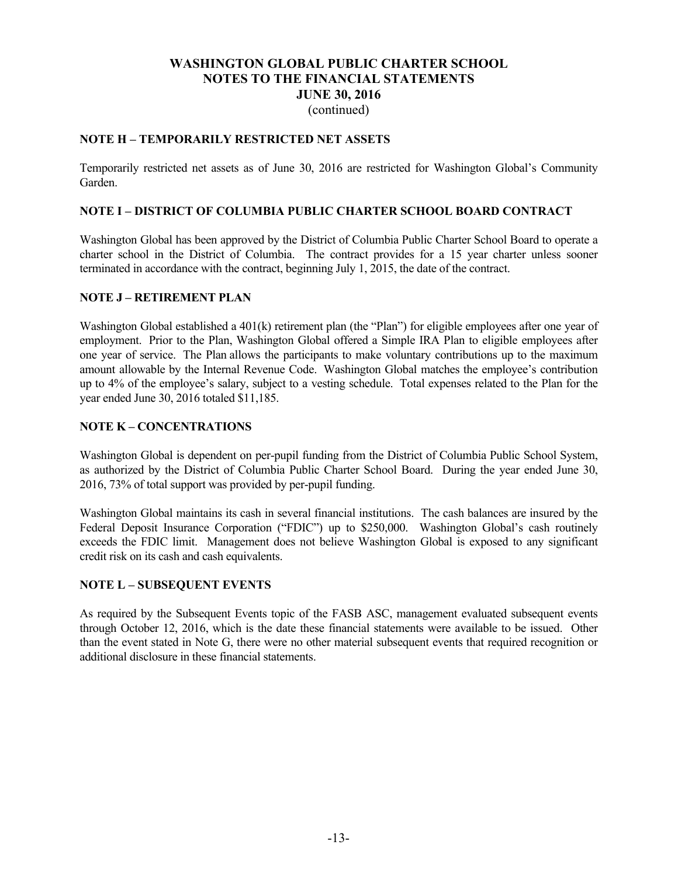### **NOTE H – TEMPORARILY RESTRICTED NET ASSETS**

Temporarily restricted net assets as of June 30, 2016 are restricted for Washington Global's Community Garden.

#### **NOTE I – DISTRICT OF COLUMBIA PUBLIC CHARTER SCHOOL BOARD CONTRACT**

Washington Global has been approved by the District of Columbia Public Charter School Board to operate a charter school in the District of Columbia. The contract provides for a 15 year charter unless sooner terminated in accordance with the contract, beginning July 1, 2015, the date of the contract.

#### **NOTE J – RETIREMENT PLAN**

Washington Global established a 401(k) retirement plan (the "Plan") for eligible employees after one year of employment. Prior to the Plan, Washington Global offered a Simple IRA Plan to eligible employees after one year of service. The Plan allows the participants to make voluntary contributions up to the maximum amount allowable by the Internal Revenue Code. Washington Global matches the employee's contribution up to 4% of the employee's salary, subject to a vesting schedule. Total expenses related to the Plan for the year ended June 30, 2016 totaled \$11,185.

#### **NOTE K – CONCENTRATIONS**

Washington Global is dependent on per-pupil funding from the District of Columbia Public School System, as authorized by the District of Columbia Public Charter School Board. During the year ended June 30, 2016, 73% of total support was provided by per-pupil funding.

Washington Global maintains its cash in several financial institutions. The cash balances are insured by the Federal Deposit Insurance Corporation ("FDIC") up to \$250,000. Washington Global's cash routinely exceeds the FDIC limit. Management does not believe Washington Global is exposed to any significant credit risk on its cash and cash equivalents.

#### **NOTE L – SUBSEQUENT EVENTS**

As required by the Subsequent Events topic of the FASB ASC, management evaluated subsequent events through October 12, 2016, which is the date these financial statements were available to be issued. Other than the event stated in Note G, there were no other material subsequent events that required recognition or additional disclosure in these financial statements.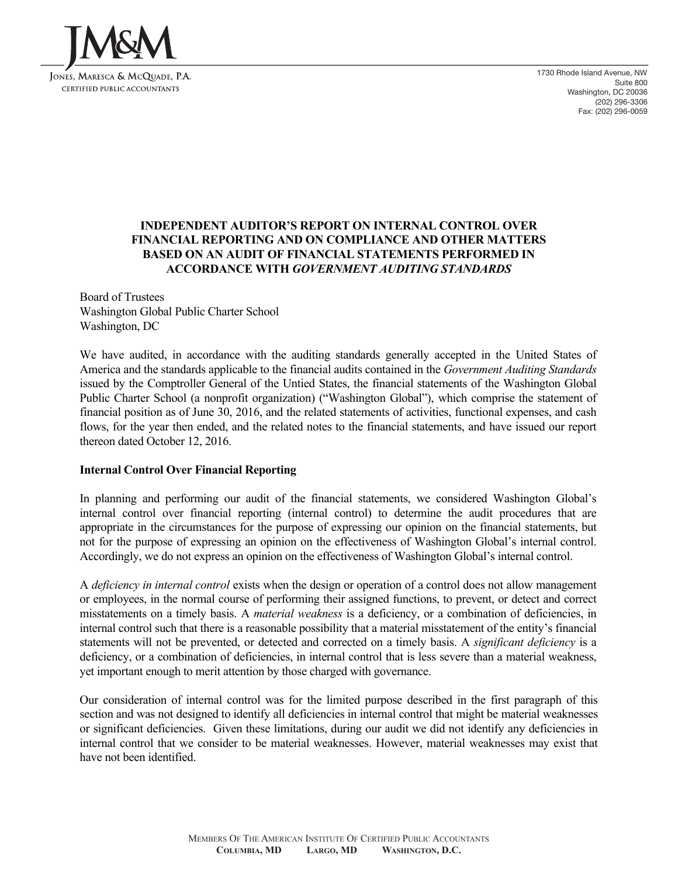

1730 Rhode Island Avenue, NW Suite 800 Washington, DC 20036 (202) 296-3306 Fax: (202) 296-0059

# **INDEPENDENT AUDITOR'S REPORT ON INTERNAL CONTROL OVER FINANCIAL REPORTING AND ON COMPLIANCE AND OTHER MATTERS BASED ON AN AUDIT OF FINANCIAL STATEMENTS PERFORMED IN ACCORDANCE WITH** *GOVERNMENT AUDITING STANDARDS*

Board of Trustees Washington Global Public Charter School Washington, DC

We have audited, in accordance with the auditing standards generally accepted in the United States of America and the standards applicable to the financial audits contained in the *Government Auditing Standards* issued by the Comptroller General of the Untied States, the financial statements of the Washington Global Public Charter School (a nonprofit organization) ("Washington Global"), which comprise the statement of financial position as of June 30, 2016, and the related statements of activities, functional expenses, and cash flows, for the year then ended, and the related notes to the financial statements, and have issued our report thereon dated October 12, 2016.

#### **Internal Control Over Financial Reporting**

In planning and performing our audit of the financial statements, we considered Washington Global's internal control over financial reporting (internal control) to determine the audit procedures that are appropriate in the circumstances for the purpose of expressing our opinion on the financial statements, but not for the purpose of expressing an opinion on the effectiveness of Washington Global's internal control. Accordingly, we do not express an opinion on the effectiveness of Washington Global's internal control.

A *deficiency in internal control* exists when the design or operation of a control does not allow management or employees, in the normal course of performing their assigned functions, to prevent, or detect and correct misstatements on a timely basis. A *material weakness* is a deficiency, or a combination of deficiencies, in internal control such that there is a reasonable possibility that a material misstatement of the entity's financial statements will not be prevented, or detected and corrected on a timely basis. A *significant deficiency* is a deficiency, or a combination of deficiencies, in internal control that is less severe than a material weakness, yet important enough to merit attention by those charged with governance.

Our consideration of internal control was for the limited purpose described in the first paragraph of this section and was not designed to identify all deficiencies in internal control that might be material weaknesses or significant deficiencies. Given these limitations, during our audit we did not identify any deficiencies in internal control that we consider to be material weaknesses. However, material weaknesses may exist that have not been identified.